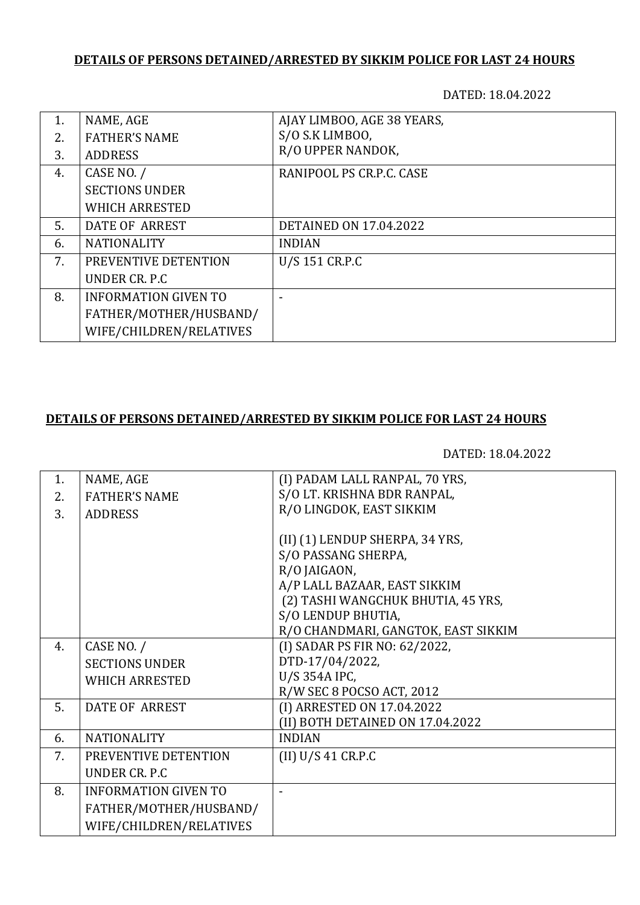## **DETAILS OF PERSONS DETAINED/ARRESTED BY SIKKIM POLICE FOR LAST 24 HOURS**

DATED: 18.04.2022

| 1. | NAME, AGE                   | AJAY LIMBOO, AGE 38 YEARS,    |
|----|-----------------------------|-------------------------------|
| 2. | <b>FATHER'S NAME</b>        | S/O S.K LIMBOO,               |
| 3. | <b>ADDRESS</b>              | R/O UPPER NANDOK,             |
| 4. | CASE NO. /                  | RANIPOOL PS CR.P.C. CASE      |
|    | <b>SECTIONS UNDER</b>       |                               |
|    | <b>WHICH ARRESTED</b>       |                               |
| 5. | DATE OF ARREST              | <b>DETAINED ON 17.04.2022</b> |
| 6. | <b>NATIONALITY</b>          | <b>INDIAN</b>                 |
| 7. | PREVENTIVE DETENTION        | U/S 151 CR.P.C                |
|    | UNDER CR. P.C.              |                               |
| 8. | <b>INFORMATION GIVEN TO</b> |                               |
|    | FATHER/MOTHER/HUSBAND/      |                               |
|    | WIFE/CHILDREN/RELATIVES     |                               |

### **DETAILS OF PERSONS DETAINED/ARRESTED BY SIKKIM POLICE FOR LAST 24 HOURS**

DATED: 18.04.2022

| 1. | NAME, AGE                   | (I) PADAM LALL RANPAL, 70 YRS,      |
|----|-----------------------------|-------------------------------------|
| 2. | <b>FATHER'S NAME</b>        | S/O LT. KRISHNA BDR RANPAL,         |
| 3. | <b>ADDRESS</b>              | R/O LINGDOK, EAST SIKKIM            |
|    |                             |                                     |
|    |                             | (II) (1) LENDUP SHERPA, 34 YRS,     |
|    |                             | S/O PASSANG SHERPA,                 |
|    |                             | R/O JAIGAON,                        |
|    |                             | A/P LALL BAZAAR, EAST SIKKIM        |
|    |                             | (2) TASHI WANGCHUK BHUTIA, 45 YRS,  |
|    |                             | S/O LENDUP BHUTIA,                  |
|    |                             | R/O CHANDMARI, GANGTOK, EAST SIKKIM |
| 4. | CASE NO. /                  | (I) SADAR PS FIR NO: 62/2022,       |
|    | <b>SECTIONS UNDER</b>       | DTD-17/04/2022,                     |
|    | <b>WHICH ARRESTED</b>       | U/S 354A IPC,                       |
|    |                             | R/W SEC 8 POCSO ACT, 2012           |
| 5. | <b>DATE OF ARREST</b>       | (I) ARRESTED ON 17.04.2022          |
|    |                             | (II) BOTH DETAINED ON 17.04.2022    |
| 6. | <b>NATIONALITY</b>          | <b>INDIAN</b>                       |
| 7. | PREVENTIVE DETENTION        | (II) U/S 41 C R.P.C                 |
|    | UNDER CR. P.C               |                                     |
| 8. | <b>INFORMATION GIVEN TO</b> |                                     |
|    | FATHER/MOTHER/HUSBAND/      |                                     |
|    | WIFE/CHILDREN/RELATIVES     |                                     |
|    |                             |                                     |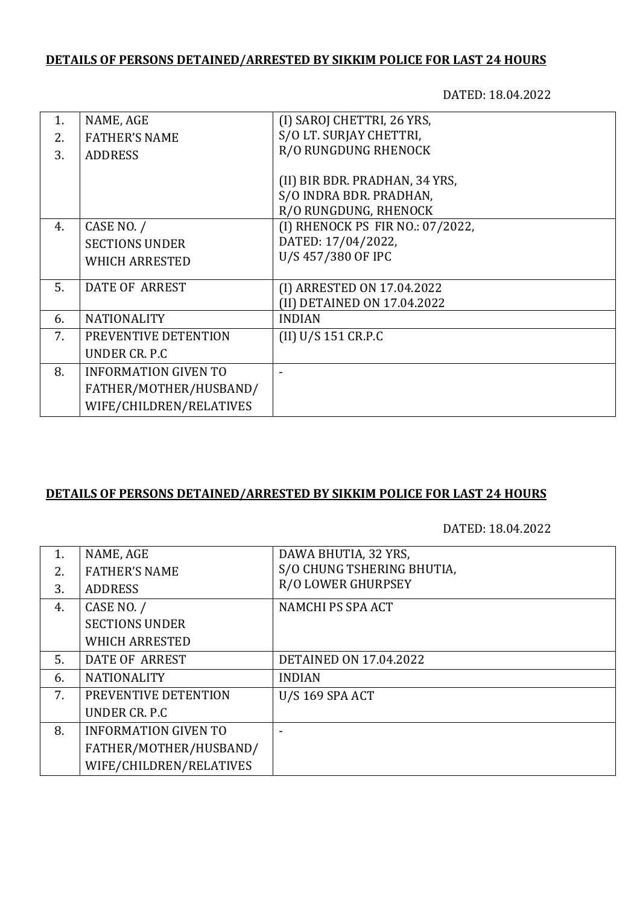## **DETAILS OF PERSONS DETAINED/ARRESTED BY SIKKIM POLICE FOR LAST 24 HOURS**

DATED: 18.04.2022

| 1. | NAME, AGE                   | (I) SAROJ CHETTRI, 26 YRS,       |
|----|-----------------------------|----------------------------------|
| 2. | <b>FATHER'S NAME</b>        | S/O LT. SURJAY CHETTRI,          |
| 3. | <b>ADDRESS</b>              | R/O RUNGDUNG RHENOCK             |
|    |                             |                                  |
|    |                             | (II) BIR BDR. PRADHAN, 34 YRS,   |
|    |                             | S/O INDRA BDR. PRADHAN,          |
|    |                             | R/O RUNGDUNG, RHENOCK            |
| 4. | CASE NO. /                  | (I) RHENOCK PS FIR NO.: 07/2022, |
|    | <b>SECTIONS UNDER</b>       | DATED: 17/04/2022,               |
|    | <b>WHICH ARRESTED</b>       | U/S 457/380 OF IPC               |
|    |                             |                                  |
| 5. | DATE OF ARREST              | (I) ARRESTED ON 17.04.2022       |
|    |                             | (II) DETAINED ON 17.04.2022      |
| 6. | <b>NATIONALITY</b>          | <b>INDIAN</b>                    |
| 7. | PREVENTIVE DETENTION        | (II) U/S 151 CR.P.C              |
|    | UNDER CR. P.C.              |                                  |
| 8. | <b>INFORMATION GIVEN TO</b> |                                  |
|    | FATHER/MOTHER/HUSBAND/      |                                  |
|    | WIFE/CHILDREN/RELATIVES     |                                  |

# **DETAILS OF PERSONS DETAINED/ARRESTED BY SIKKIM POLICE FOR LAST 24 HOURS**

DATED: 18.04.2022

| 1. | NAME, AGE                   | DAWA BHUTIA, 32 YRS,          |
|----|-----------------------------|-------------------------------|
| 2. | <b>FATHER'S NAME</b>        | S/O CHUNG TSHERING BHUTIA,    |
| 3. | <b>ADDRESS</b>              | <b>R/O LOWER GHURPSEY</b>     |
| 4. | CASE NO. /                  | NAMCHI PS SPA ACT             |
|    | <b>SECTIONS UNDER</b>       |                               |
|    | <b>WHICH ARRESTED</b>       |                               |
| 5. | <b>DATE OF ARREST</b>       | <b>DETAINED ON 17.04.2022</b> |
| 6. | <b>NATIONALITY</b>          | <b>INDIAN</b>                 |
| 7. | PREVENTIVE DETENTION        | <b>U/S 169 SPA ACT</b>        |
|    | UNDER CR. P.C               |                               |
| 8. | <b>INFORMATION GIVEN TO</b> |                               |
|    | FATHER/MOTHER/HUSBAND/      |                               |
|    | WIFE/CHILDREN/RELATIVES     |                               |